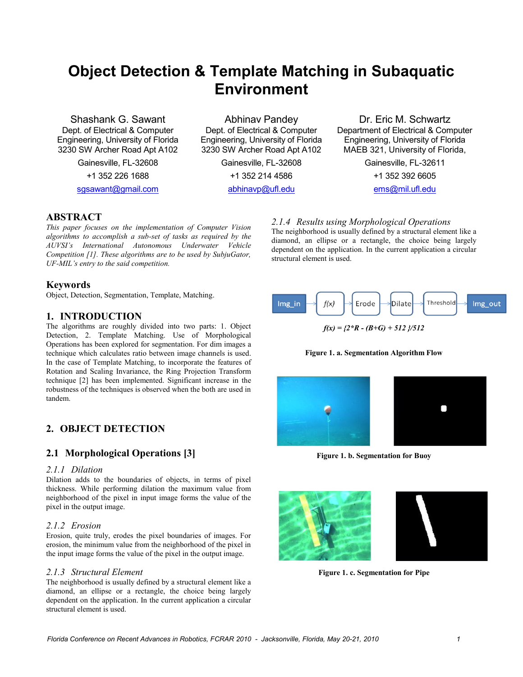# **Object Detection & Template Matching in Subaquatic Environment**

Shashank G. Sawant Dept. of Electrical & Computer Engineering, University of Florida 3230 SW Archer Road Apt A102

Gainesville, FL-32608

+1 352 226 1688

<sgsawant@gmail.com>

Abhinav Pandey Dept. of Electrical & Computer Engineering, University of Florida 3230 SW Archer Road Apt A102

Gainesville, FL-32608

+1 352 214 4586

<abhinavp@ufl.edu>

Dr. Eric M. Schwartz Department of Electrical & Computer Engineering, University of Florida MAEB 321, University of Florida,

Gainesville, FL-32611

+1 352 392 6605

<ems@mil.ufl.edu>

## **ABSTRACT**

*This paper focuses on the implementation of Computer Vision algorithms to accomplish a sub-set of tasks as required by the AUVSI's International Autonomous Underwater Vehicle Competition [1]. These algorithms are to be used by SubjuGator, UF-MIL's entry to the said competition.*

## **Keywords**

Object, Detection, Segmentation, Template, Matching.

## **1. INTRODUCTION**

The algorithms are roughly divided into two parts: 1. Object Detection, 2. Template Matching. Use of Morphological Operations has been explored for segmentation. For dim images a technique which calculates ratio between image channels is used. In the case of Template Matching, to incorporate the features of Rotation and Scaling Invariance, the Ring Projection Transform technique [2] has been implemented. Significant increase in the robustness of the techniques is observed when the both are used in tandem.

# **2. OBJECT DETECTION**

# **2.1 Morphological Operations [3]**

#### *2.1.1 Dilation*

Dilation adds to the boundaries of objects, in terms of pixel thickness. While performing dilation the maximum value from neighborhood of the pixel in input image forms the value of the pixel in the output image.

#### *2.1.2 Erosion*

Erosion, quite truly, erodes the pixel boundaries of images. For erosion, the minimum value from the neighborhood of the pixel in the input image forms the value of the pixel in the output image.

#### *2.1.3 Structural Element*

The neighborhood is usually defined by a structural element like a diamond, an ellipse or a rectangle, the choice being largely dependent on the application. In the current application a circular structural element is used.

Threshold  $Img$ \_in  $f(x)$ Erode Dilate Img\_out

*f(x) = {2\*R - (B+G) + 512 }/512*

*2.1.4 Results using Morphological Operations* The neighborhood is usually defined by a structural element like a diamond, an ellipse or a rectangle, the choice being largely dependent on the application. In the current application a circular





structural element is used.



**Figure 1. b. Segmentation for Buoy**





**Figure 1. c. Segmentation for Pipe**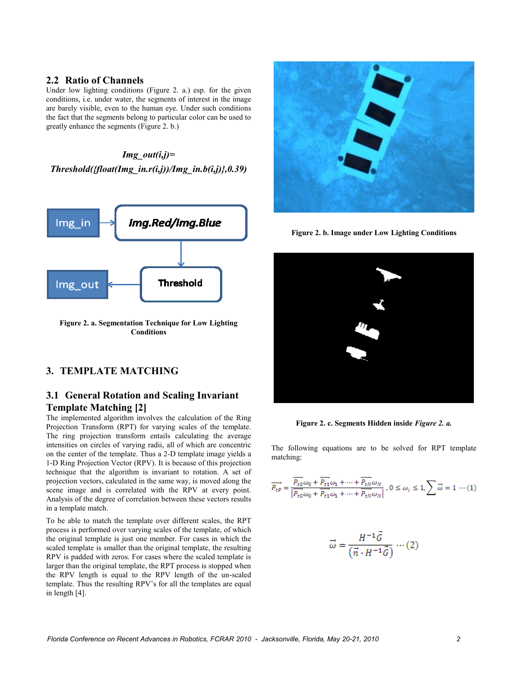## **2.2 Ratio of Channels**

Under low lighting conditions (Figure 2. a.) esp. for the given conditions, i.e. under water, the segments of interest in the image are barely visible, even to the human eye. Under such conditions the fact that the segments belong to particular color can be used to greatly enhance the segments (Figure 2. b.)

*Img\_out(i,j)= Threshold({float(Img\_in.r(i,j))/Img\_in.b(i,j)},0.39)*



**Figure 2. a. Segmentation Technique for Low Lighting Conditions**

# **3. TEMPLATE MATCHING**

# **3.1 General Rotation and Scaling Invariant Template Matching [2]**

The implemented algorithm involves the calculation of the Ring Projection Transform (RPT) for varying scales of the template. The ring projection transform entails calculating the average intensities on circles of varying radii, all of which are concentric on the center of the template. Thus a 2-D template image yields a 1-D Ring Projection Vector (RPV). It is because of this projection technique that the algorithm is invariant to rotation. A set of projection vectors, calculated in the same way, is moved along the scene image and is correlated with the RPV at every point. Analysis of the degree of correlation between these vectors results in a template match.

To be able to match the template over different scales, the RPT process is performed over varying scales of the template, of which the original template is just one member. For cases in which the scaled template is smaller than the original template, the resulting RPV is padded with zeros. For cases where the scaled template is larger than the original template, the RPT process is stopped when the RPV length is equal to the RPV length of the un-scaled template. Thus the resulting RPV's for all the templates are equal in length [4].



**Figure 2. b. Image under Low Lighting Conditions**



**Figure 2. c. Segments Hidden inside** *Figure 2. a.*

The following equations are to be solved for RPT template matching:

$$
\overrightarrow{P_{tP}} = \frac{\overrightarrow{P_{t0}}\omega_0 + \overrightarrow{P_{t1}}\omega_1 + \dots + \overrightarrow{P_{tN}}\omega_N}{\left|\overrightarrow{P_{t0}}\omega_0 + \overrightarrow{P_{t1}}\omega_1 + \dots + \overrightarrow{P_{tN}}\omega_N\right|}, 0 \le \omega_i \le 1, \sum \overrightarrow{\omega} = 1 \cdots (1)
$$

$$
\vec{\omega} = \frac{H^{-1}\vec{G}}{(\vec{n} \cdot H^{-1}\vec{G})} \cdots (2)
$$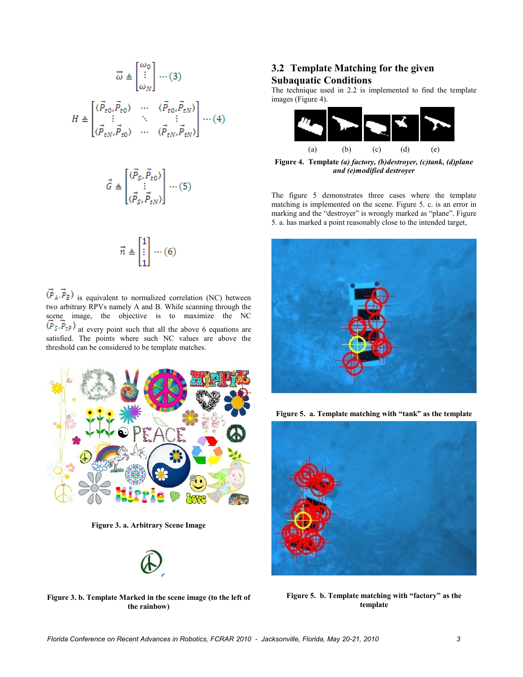$$
\vec{\omega} \triangleq \begin{bmatrix} \omega_0 \\ \vdots \\ \omega_N \end{bmatrix} \cdots (3)
$$

$$
H \triangleq \begin{bmatrix} \langle \vec{P}_{\text{t0}}, \vec{P}_{\text{t0}} \rangle & \cdots & \langle \vec{P}_{\text{t0}}, \vec{P}_{\text{tN}} \rangle \\ \vdots & \ddots & \vdots \\ \langle \vec{P}_{\text{tN}}, \vec{P}_{\text{t0}} \rangle & \cdots & \langle \vec{P}_{\text{tN}}, \vec{P}_{\text{tN}} \rangle \end{bmatrix} \cdots (4)
$$

$$
\vec{G} \triangleq \begin{bmatrix} \langle \vec{P}_S, \vec{P}_{\text{t0}} \rangle \\ \vdots \\ \langle \vec{P}_S, \vec{P}_{\text{tN}} \rangle \end{bmatrix} \cdots (5)
$$

$$
\vec{n} \triangleq \begin{bmatrix} 1 \\ \vdots \\ 1 \end{bmatrix} \cdots (6)
$$

 $\langle \vec{P}_A, \vec{P}_B \rangle$  is equivalent to normalized correlation (NC) between two arbitrary RPVs namely A and B. While scanning through the scene image, the objective is to maximize the NC  $\langle \vec{P}_s, \vec{P}_{tP} \rangle$  at every point such that all the above 6 equations are satisfied. The points where such NC values are above the threshold can be considered to be template matches.



**Figure 3. a. Arbitrary Scene Image**



**Figure 3. b. Template Marked in the scene image (to the left of the rainbow)**

# **3.2 Template Matching for the given Subaquatic Conditions**

The technique used in 2.2 is implemented to find the template images (Figure 4).



**Figure 4. Template** *(a) factory, (b)destroyer, (c)tank, (d)plane and (e)modified destroyer*

The figure 5 demonstrates three cases where the template matching is implemented on the scene. Figure 5. c. is an error in marking and the "destroyer" is wrongly marked as "plane". Figure 5. a. has marked a point reasonably close to the intended target,



**Figure 5. a. Template matching with "tank" as the template**



**Figure 5. b. Template matching with "factory" as the template**